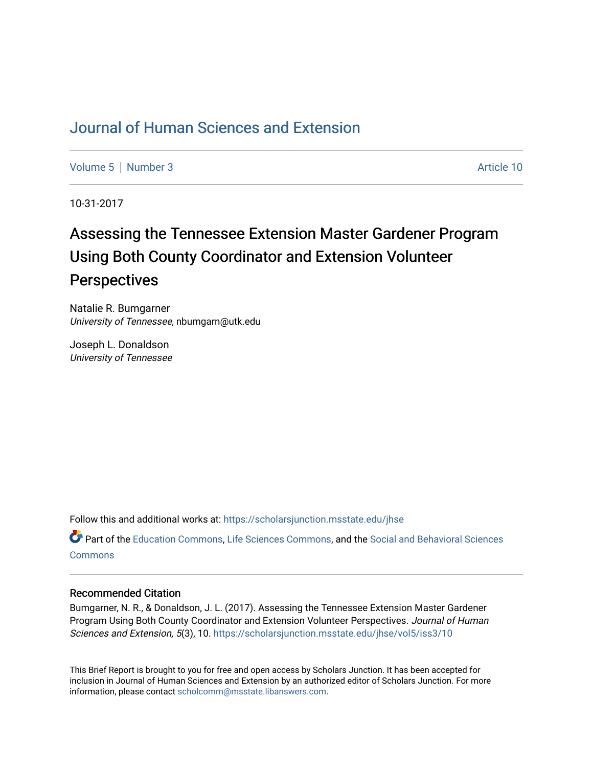# [Journal of Human Sciences and Extension](https://scholarsjunction.msstate.edu/jhse)

[Volume 5](https://scholarsjunction.msstate.edu/jhse/vol5) | [Number 3](https://scholarsjunction.msstate.edu/jhse/vol5/iss3) Article 10

10-31-2017

# Assessing the Tennessee Extension Master Gardener Program Using Both County Coordinator and Extension Volunteer **Perspectives**

Natalie R. Bumgarner University of Tennessee, nbumgarn@utk.edu

Joseph L. Donaldson University of Tennessee

Follow this and additional works at: [https://scholarsjunction.msstate.edu/jhse](https://scholarsjunction.msstate.edu/jhse?utm_source=scholarsjunction.msstate.edu%2Fjhse%2Fvol5%2Fiss3%2F10&utm_medium=PDF&utm_campaign=PDFCoverPages)

Part of the [Education Commons](http://network.bepress.com/hgg/discipline/784?utm_source=scholarsjunction.msstate.edu%2Fjhse%2Fvol5%2Fiss3%2F10&utm_medium=PDF&utm_campaign=PDFCoverPages), [Life Sciences Commons](http://network.bepress.com/hgg/discipline/1016?utm_source=scholarsjunction.msstate.edu%2Fjhse%2Fvol5%2Fiss3%2F10&utm_medium=PDF&utm_campaign=PDFCoverPages), and the [Social and Behavioral Sciences](http://network.bepress.com/hgg/discipline/316?utm_source=scholarsjunction.msstate.edu%2Fjhse%2Fvol5%2Fiss3%2F10&utm_medium=PDF&utm_campaign=PDFCoverPages)  **[Commons](http://network.bepress.com/hgg/discipline/316?utm_source=scholarsjunction.msstate.edu%2Fjhse%2Fvol5%2Fiss3%2F10&utm_medium=PDF&utm_campaign=PDFCoverPages)** 

#### Recommended Citation

Bumgarner, N. R., & Donaldson, J. L. (2017). Assessing the Tennessee Extension Master Gardener Program Using Both County Coordinator and Extension Volunteer Perspectives. Journal of Human Sciences and Extension, 5(3), 10. [https://scholarsjunction.msstate.edu/jhse/vol5/iss3/10](https://scholarsjunction.msstate.edu/jhse/vol5/iss3/10?utm_source=scholarsjunction.msstate.edu%2Fjhse%2Fvol5%2Fiss3%2F10&utm_medium=PDF&utm_campaign=PDFCoverPages)

This Brief Report is brought to you for free and open access by Scholars Junction. It has been accepted for inclusion in Journal of Human Sciences and Extension by an authorized editor of Scholars Junction. For more information, please contact [scholcomm@msstate.libanswers.com](mailto:scholcomm@msstate.libanswers.com).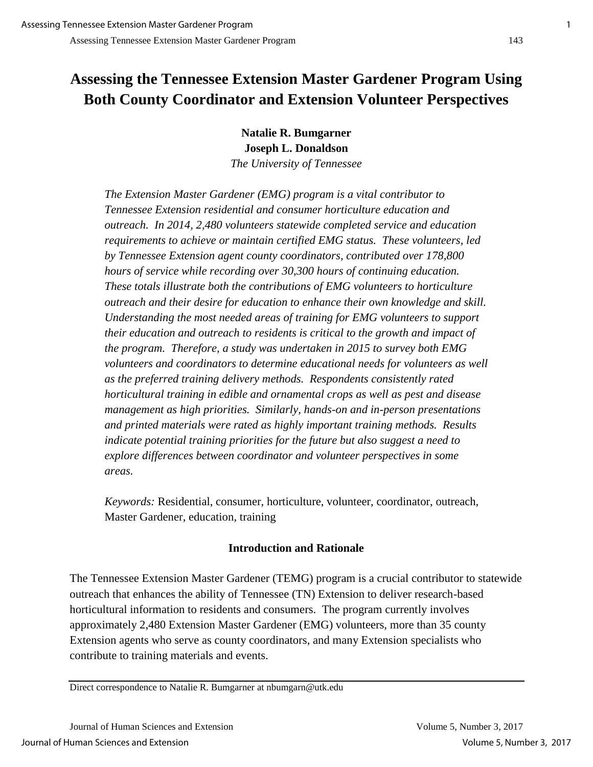# **Assessing the Tennessee Extension Master Gardener Program Using Both County Coordinator and Extension Volunteer Perspectives**

**Natalie R. Bumgarner Joseph L. Donaldson** *The University of Tennessee*

*The Extension Master Gardener (EMG) program is a vital contributor to Tennessee Extension residential and consumer horticulture education and outreach. In 2014, 2,480 volunteers statewide completed service and education requirements to achieve or maintain certified EMG status. These volunteers, led by Tennessee Extension agent county coordinators, contributed over 178,800 hours of service while recording over 30,300 hours of continuing education. These totals illustrate both the contributions of EMG volunteers to horticulture outreach and their desire for education to enhance their own knowledge and skill. Understanding the most needed areas of training for EMG volunteers to support their education and outreach to residents is critical to the growth and impact of the program. Therefore, a study was undertaken in 2015 to survey both EMG volunteers and coordinators to determine educational needs for volunteers as well as the preferred training delivery methods. Respondents consistently rated horticultural training in edible and ornamental crops as well as pest and disease management as high priorities. Similarly, hands-on and in-person presentations and printed materials were rated as highly important training methods. Results indicate potential training priorities for the future but also suggest a need to explore differences between coordinator and volunteer perspectives in some areas.*

*Keywords:* Residential, consumer, horticulture, volunteer, coordinator, outreach, Master Gardener, education, training

# **Introduction and Rationale**

The Tennessee Extension Master Gardener (TEMG) program is a crucial contributor to statewide outreach that enhances the ability of Tennessee (TN) Extension to deliver research-based horticultural information to residents and consumers. The program currently involves approximately 2,480 Extension Master Gardener (EMG) volunteers, more than 35 county Extension agents who serve as county coordinators, and many Extension specialists who contribute to training materials and events.

Direct correspondence to Natalie R. Bumgarner at nbumgarn@utk.edu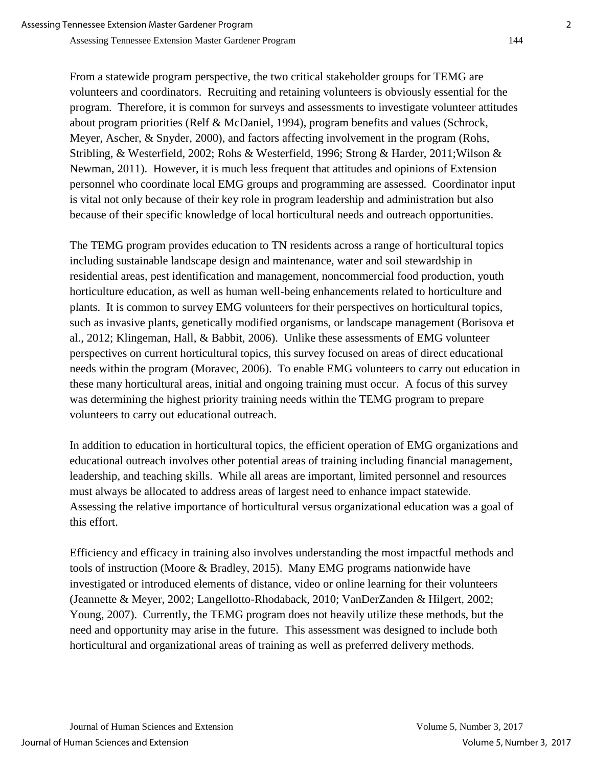From a statewide program perspective, the two critical stakeholder groups for TEMG are volunteers and coordinators. Recruiting and retaining volunteers is obviously essential for the program. Therefore, it is common for surveys and assessments to investigate volunteer attitudes about program priorities (Relf & McDaniel, 1994), program benefits and values (Schrock, Meyer, Ascher, & Snyder, 2000), and factors affecting involvement in the program (Rohs, Stribling, & Westerfield, 2002; Rohs & Westerfield, 1996; Strong & Harder, 2011;Wilson & Newman, 2011). However, it is much less frequent that attitudes and opinions of Extension personnel who coordinate local EMG groups and programming are assessed. Coordinator input is vital not only because of their key role in program leadership and administration but also because of their specific knowledge of local horticultural needs and outreach opportunities.

The TEMG program provides education to TN residents across a range of horticultural topics including sustainable landscape design and maintenance, water and soil stewardship in residential areas, pest identification and management, noncommercial food production, youth horticulture education, as well as human well-being enhancements related to horticulture and plants. It is common to survey EMG volunteers for their perspectives on horticultural topics, such as invasive plants, genetically modified organisms, or landscape management (Borisova et al., 2012; Klingeman, Hall, & Babbit, 2006). Unlike these assessments of EMG volunteer perspectives on current horticultural topics, this survey focused on areas of direct educational needs within the program (Moravec, 2006). To enable EMG volunteers to carry out education in these many horticultural areas, initial and ongoing training must occur. A focus of this survey was determining the highest priority training needs within the TEMG program to prepare volunteers to carry out educational outreach.

In addition to education in horticultural topics, the efficient operation of EMG organizations and educational outreach involves other potential areas of training including financial management, leadership, and teaching skills. While all areas are important, limited personnel and resources must always be allocated to address areas of largest need to enhance impact statewide. Assessing the relative importance of horticultural versus organizational education was a goal of this effort.

Efficiency and efficacy in training also involves understanding the most impactful methods and tools of instruction (Moore & Bradley, 2015). Many EMG programs nationwide have investigated or introduced elements of distance, video or online learning for their volunteers (Jeannette & Meyer, 2002; Langellotto-Rhodaback, 2010; VanDerZanden & Hilgert, 2002; Young, 2007). Currently, the TEMG program does not heavily utilize these methods, but the need and opportunity may arise in the future. This assessment was designed to include both horticultural and organizational areas of training as well as preferred delivery methods.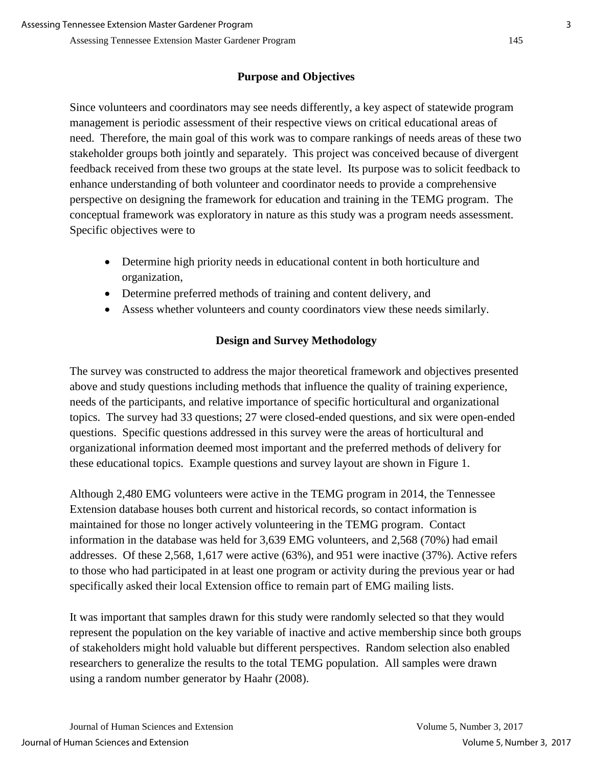# **Purpose and Objectives**

Since volunteers and coordinators may see needs differently, a key aspect of statewide program management is periodic assessment of their respective views on critical educational areas of need. Therefore, the main goal of this work was to compare rankings of needs areas of these two stakeholder groups both jointly and separately. This project was conceived because of divergent feedback received from these two groups at the state level. Its purpose was to solicit feedback to enhance understanding of both volunteer and coordinator needs to provide a comprehensive perspective on designing the framework for education and training in the TEMG program. The conceptual framework was exploratory in nature as this study was a program needs assessment. Specific objectives were to

- Determine high priority needs in educational content in both horticulture and organization,
- Determine preferred methods of training and content delivery, and
- Assess whether volunteers and county coordinators view these needs similarly.

# **Design and Survey Methodology**

The survey was constructed to address the major theoretical framework and objectives presented above and study questions including methods that influence the quality of training experience, needs of the participants, and relative importance of specific horticultural and organizational topics. The survey had 33 questions; 27 were closed-ended questions, and six were open-ended questions. Specific questions addressed in this survey were the areas of horticultural and organizational information deemed most important and the preferred methods of delivery for these educational topics. Example questions and survey layout are shown in Figure 1.

Although 2,480 EMG volunteers were active in the TEMG program in 2014, the Tennessee Extension database houses both current and historical records, so contact information is maintained for those no longer actively volunteering in the TEMG program. Contact information in the database was held for 3,639 EMG volunteers, and 2,568 (70%) had email addresses. Of these 2,568, 1,617 were active (63%), and 951 were inactive (37%). Active refers to those who had participated in at least one program or activity during the previous year or had specifically asked their local Extension office to remain part of EMG mailing lists.

It was important that samples drawn for this study were randomly selected so that they would represent the population on the key variable of inactive and active membership since both groups of stakeholders might hold valuable but different perspectives. Random selection also enabled researchers to generalize the results to the total TEMG population. All samples were drawn using a random number generator by Haahr (2008).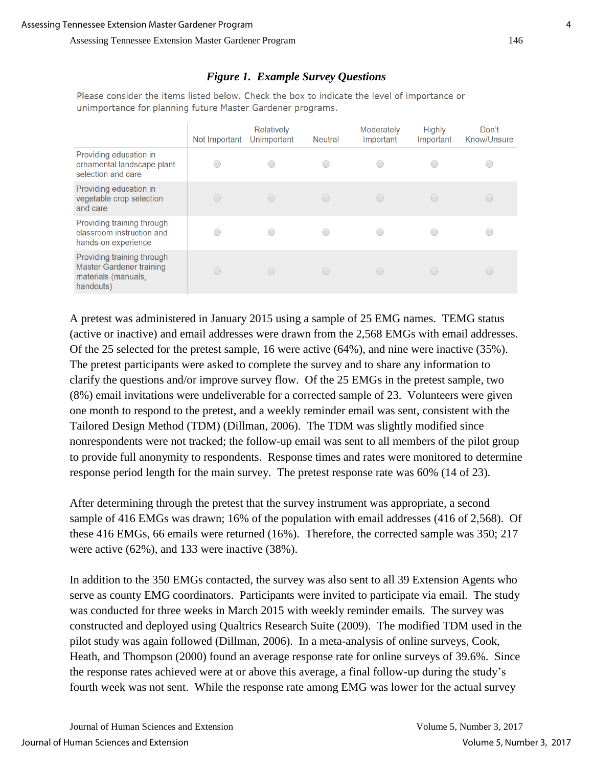### *Figure 1. Example Survey Questions*

Please consider the items listed below. Check the box to indicate the level of importance or unimportance for planning future Master Gardener programs.

|                                                                                            | Not Important | Relatively<br>Unimportant | <b>Neutral</b>           | Moderately<br>Important | <b>Highly</b><br>Important | Don't<br>Know/Unsure |
|--------------------------------------------------------------------------------------------|---------------|---------------------------|--------------------------|-------------------------|----------------------------|----------------------|
| Providing education in<br>ornamental landscape plant<br>selection and care                 |               |                           | 0                        |                         |                            |                      |
| Providing education in<br>vegetable crop selection<br>and care                             |               | $\left( \quad \right)$    | $\bigcirc$               | ◯                       | $\left( \quad \right)$     |                      |
| Providing training through<br>classroom instruction and<br>hands-on experience             |               |                           | $\overline{\phantom{a}}$ |                         |                            |                      |
| Providing training through<br>Master Gardener training<br>materials (manuals,<br>handouts) |               | (                         | $\bigcirc$               | $\bigcap$               |                            |                      |

A pretest was administered in January 2015 using a sample of 25 EMG names. TEMG status (active or inactive) and email addresses were drawn from the 2,568 EMGs with email addresses. Of the 25 selected for the pretest sample, 16 were active (64%), and nine were inactive (35%). The pretest participants were asked to complete the survey and to share any information to clarify the questions and/or improve survey flow. Of the 25 EMGs in the pretest sample, two (8%) email invitations were undeliverable for a corrected sample of 23. Volunteers were given one month to respond to the pretest, and a weekly reminder email was sent, consistent with the Tailored Design Method (TDM) (Dillman, 2006). The TDM was slightly modified since nonrespondents were not tracked; the follow-up email was sent to all members of the pilot group to provide full anonymity to respondents. Response times and rates were monitored to determine response period length for the main survey. The pretest response rate was 60% (14 of 23).

After determining through the pretest that the survey instrument was appropriate, a second sample of 416 EMGs was drawn; 16% of the population with email addresses (416 of 2,568). Of these 416 EMGs, 66 emails were returned (16%). Therefore, the corrected sample was 350; 217 were active (62%), and 133 were inactive (38%).

In addition to the 350 EMGs contacted, the survey was also sent to all 39 Extension Agents who serve as county EMG coordinators. Participants were invited to participate via email. The study was conducted for three weeks in March 2015 with weekly reminder emails. The survey was constructed and deployed using Qualtrics Research Suite (2009). The modified TDM used in the pilot study was again followed (Dillman, 2006). In a meta-analysis of online surveys, Cook, Heath, and Thompson (2000) found an average response rate for online surveys of 39.6%. Since the response rates achieved were at or above this average, a final follow-up during the study's fourth week was not sent. While the response rate among EMG was lower for the actual survey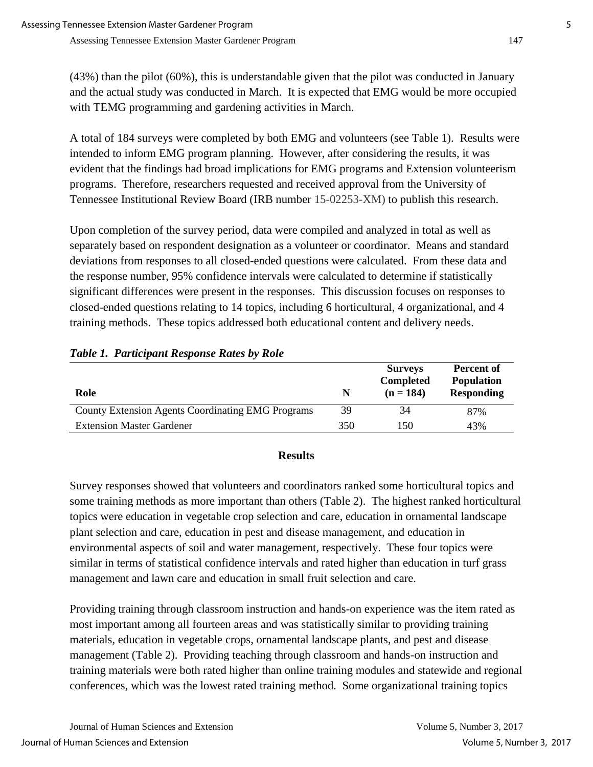(43%) than the pilot (60%), this is understandable given that the pilot was conducted in January and the actual study was conducted in March. It is expected that EMG would be more occupied with TEMG programming and gardening activities in March.

A total of 184 surveys were completed by both EMG and volunteers (see Table 1). Results were intended to inform EMG program planning. However, after considering the results, it was evident that the findings had broad implications for EMG programs and Extension volunteerism programs. Therefore, researchers requested and received approval from the University of Tennessee Institutional Review Board (IRB number 15-02253-XM) to publish this research.

Upon completion of the survey period, data were compiled and analyzed in total as well as separately based on respondent designation as a volunteer or coordinator. Means and standard deviations from responses to all closed-ended questions were calculated. From these data and the response number, 95% confidence intervals were calculated to determine if statistically significant differences were present in the responses. This discussion focuses on responses to closed-ended questions relating to 14 topics, including 6 horticultural, 4 organizational, and 4 training methods. These topics addressed both educational content and delivery needs.

| Role                                                     | N   | <b>Surveys</b><br><b>Completed</b><br>$(n = 184)$ | <b>Percent of</b><br><b>Population</b><br><b>Responding</b> |
|----------------------------------------------------------|-----|---------------------------------------------------|-------------------------------------------------------------|
| <b>County Extension Agents Coordinating EMG Programs</b> | 39  | 34                                                | 87%                                                         |
| <b>Extension Master Gardener</b>                         | 350 | 150                                               | 43%                                                         |

# *Table 1. Participant Response Rates by Role*

# **Results**

Survey responses showed that volunteers and coordinators ranked some horticultural topics and some training methods as more important than others (Table 2). The highest ranked horticultural topics were education in vegetable crop selection and care, education in ornamental landscape plant selection and care, education in pest and disease management, and education in environmental aspects of soil and water management, respectively. These four topics were similar in terms of statistical confidence intervals and rated higher than education in turf grass management and lawn care and education in small fruit selection and care.

Providing training through classroom instruction and hands-on experience was the item rated as most important among all fourteen areas and was statistically similar to providing training materials, education in vegetable crops, ornamental landscape plants, and pest and disease management (Table 2). Providing teaching through classroom and hands-on instruction and training materials were both rated higher than online training modules and statewide and regional conferences, which was the lowest rated training method. Some organizational training topics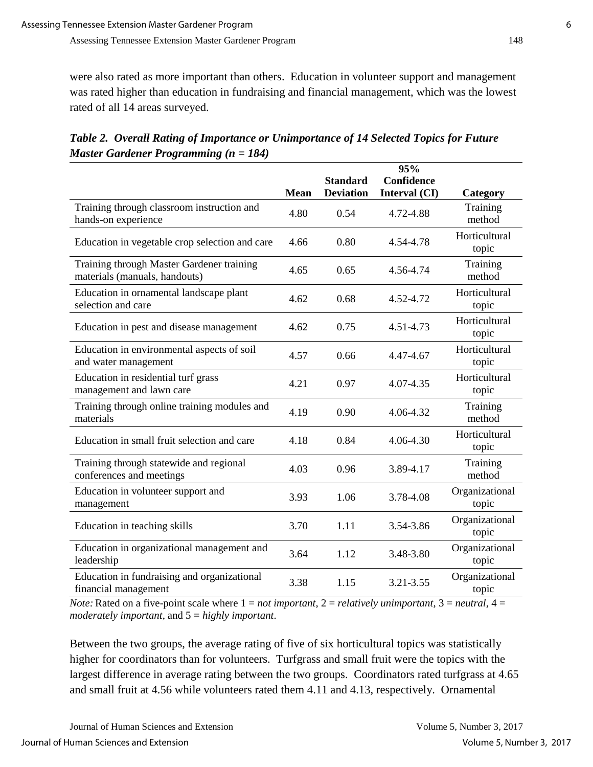were also rated as more important than others. Education in volunteer support and management was rated higher than education in fundraising and financial management, which was the lowest rated of all 14 areas surveyed.

|                                                                            | <b>Mean</b> | <b>Standard</b><br><b>Deviation</b> | 95%<br>Confidence<br>Interval (CI) |                                |
|----------------------------------------------------------------------------|-------------|-------------------------------------|------------------------------------|--------------------------------|
| Training through classroom instruction and<br>hands-on experience          | 4.80        | 0.54                                | 4.72-4.88                          | Category<br>Training<br>method |
| Education in vegetable crop selection and care                             | 4.66        | 0.80                                | 4.54-4.78                          | Horticultural<br>topic         |
| Training through Master Gardener training<br>materials (manuals, handouts) | 4.65        | 0.65                                | 4.56-4.74                          | Training<br>method             |
| Education in ornamental landscape plant<br>selection and care              | 4.62        | 0.68                                | 4.52-4.72                          | Horticultural<br>topic         |
| Education in pest and disease management                                   | 4.62        | 0.75                                | 4.51-4.73                          | Horticultural<br>topic         |
| Education in environmental aspects of soil<br>and water management         | 4.57        | 0.66                                | 4.47-4.67                          | Horticultural<br>topic         |
| Education in residential turf grass<br>management and lawn care            | 4.21        | 0.97                                | 4.07-4.35                          | Horticultural<br>topic         |
| Training through online training modules and<br>materials                  | 4.19        | 0.90                                | 4.06-4.32                          | Training<br>method             |
| Education in small fruit selection and care                                | 4.18        | 0.84                                | 4.06-4.30                          | Horticultural<br>topic         |
| Training through statewide and regional<br>conferences and meetings        | 4.03        | 0.96                                | 3.89-4.17                          | Training<br>method             |
| Education in volunteer support and<br>management                           | 3.93        | 1.06                                | 3.78-4.08                          | Organizational<br>topic        |
| Education in teaching skills                                               | 3.70        | 1.11                                | 3.54-3.86                          | Organizational<br>topic        |
| Education in organizational management and<br>leadership                   | 3.64        | 1.12                                | 3.48-3.80                          | Organizational<br>topic        |

*Table 2. Overall Rating of Importance or Unimportance of 14 Selected Topics for Future Master Gardener Programming (n = 184)*

*Note:* Rated on a five-point scale where  $1 = not$  *important*,  $2 =$  *relatively unimportant*,  $3 =$  *neutral*,  $4 =$ *moderately important*, and 5 = *highly important*.

Education in fundraising and organizational <br>  $3.38$  1.15  $3.21-3.55$  Organizational<br>
topic

Between the two groups, the average rating of five of six horticultural topics was statistically higher for coordinators than for volunteers. Turfgrass and small fruit were the topics with the largest difference in average rating between the two groups. Coordinators rated turfgrass at 4.65 and small fruit at 4.56 while volunteers rated them 4.11 and 4.13, respectively. Ornamental

topic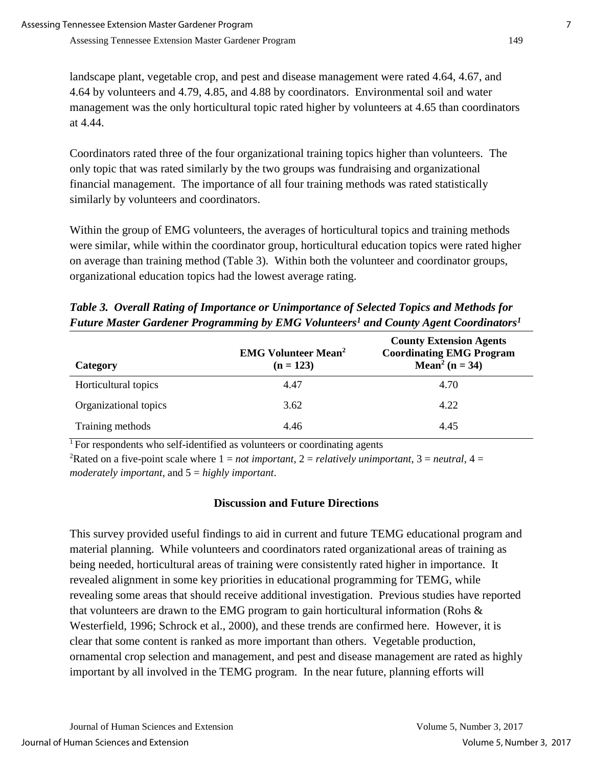landscape plant, vegetable crop, and pest and disease management were rated 4.64, 4.67, and 4.64 by volunteers and 4.79, 4.85, and 4.88 by coordinators. Environmental soil and water management was the only horticultural topic rated higher by volunteers at 4.65 than coordinators at 4.44.

Coordinators rated three of the four organizational training topics higher than volunteers. The only topic that was rated similarly by the two groups was fundraising and organizational financial management. The importance of all four training methods was rated statistically similarly by volunteers and coordinators.

Within the group of EMG volunteers, the averages of horticultural topics and training methods were similar, while within the coordinator group, horticultural education topics were rated higher on average than training method (Table 3). Within both the volunteer and coordinator groups, organizational education topics had the lowest average rating.

*Table 3. Overall Rating of Importance or Unimportance of Selected Topics and Methods for Future Master Gardener Programming by EMG Volunteers<sup>1</sup> and County Agent Coordinators<sup>1</sup>*

| Category              | <b>EMG Volunteer Mean<sup>2</sup></b><br>$(n = 123)$ | <b>County Extension Agents</b><br><b>Coordinating EMG Program</b><br>Mean <sup>2</sup> ( $n = 34$ ) |
|-----------------------|------------------------------------------------------|-----------------------------------------------------------------------------------------------------|
| Horticultural topics  | 4.47                                                 | 4.70                                                                                                |
| Organizational topics | 3.62                                                 | 4.22                                                                                                |
| Training methods      | 4.46                                                 | 4.45                                                                                                |

<sup>1</sup> For respondents who self-identified as volunteers or coordinating agents

<sup>2</sup>Rated on a five-point scale where  $1 = not important$ ,  $2 = relatively unimportant$ ,  $3 = neutral$ ,  $4 =$ *moderately important*, and 5 = *highly important*.

# **Discussion and Future Directions**

This survey provided useful findings to aid in current and future TEMG educational program and material planning. While volunteers and coordinators rated organizational areas of training as being needed, horticultural areas of training were consistently rated higher in importance. It revealed alignment in some key priorities in educational programming for TEMG, while revealing some areas that should receive additional investigation. Previous studies have reported that volunteers are drawn to the EMG program to gain horticultural information (Rohs & Westerfield, 1996; Schrock et al., 2000), and these trends are confirmed here. However, it is clear that some content is ranked as more important than others. Vegetable production, ornamental crop selection and management, and pest and disease management are rated as highly important by all involved in the TEMG program. In the near future, planning efforts will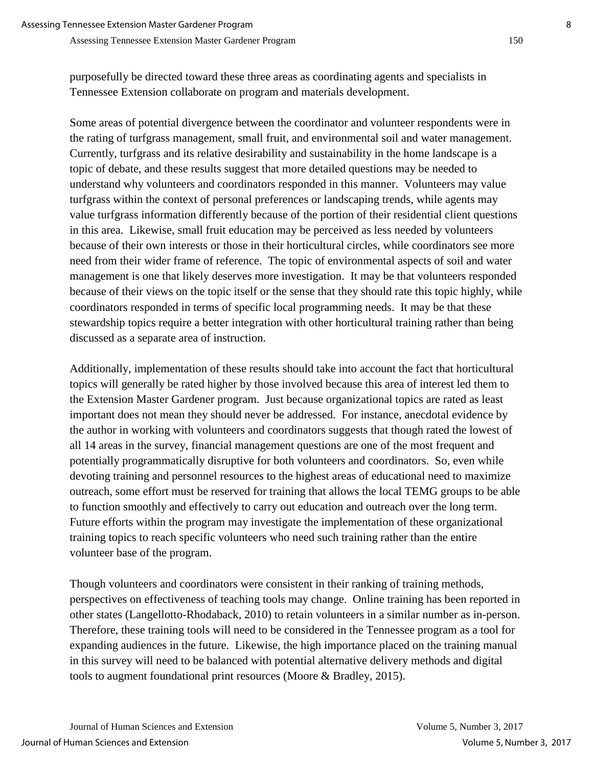purposefully be directed toward these three areas as coordinating agents and specialists in Tennessee Extension collaborate on program and materials development.

Some areas of potential divergence between the coordinator and volunteer respondents were in the rating of turfgrass management, small fruit, and environmental soil and water management. Currently, turfgrass and its relative desirability and sustainability in the home landscape is a topic of debate, and these results suggest that more detailed questions may be needed to understand why volunteers and coordinators responded in this manner. Volunteers may value turfgrass within the context of personal preferences or landscaping trends, while agents may value turfgrass information differently because of the portion of their residential client questions in this area. Likewise, small fruit education may be perceived as less needed by volunteers because of their own interests or those in their horticultural circles, while coordinators see more need from their wider frame of reference. The topic of environmental aspects of soil and water management is one that likely deserves more investigation. It may be that volunteers responded because of their views on the topic itself or the sense that they should rate this topic highly, while coordinators responded in terms of specific local programming needs. It may be that these stewardship topics require a better integration with other horticultural training rather than being discussed as a separate area of instruction.

Additionally, implementation of these results should take into account the fact that horticultural topics will generally be rated higher by those involved because this area of interest led them to the Extension Master Gardener program. Just because organizational topics are rated as least important does not mean they should never be addressed. For instance, anecdotal evidence by the author in working with volunteers and coordinators suggests that though rated the lowest of all 14 areas in the survey, financial management questions are one of the most frequent and potentially programmatically disruptive for both volunteers and coordinators. So, even while devoting training and personnel resources to the highest areas of educational need to maximize outreach, some effort must be reserved for training that allows the local TEMG groups to be able to function smoothly and effectively to carry out education and outreach over the long term. Future efforts within the program may investigate the implementation of these organizational training topics to reach specific volunteers who need such training rather than the entire volunteer base of the program.

Though volunteers and coordinators were consistent in their ranking of training methods, perspectives on effectiveness of teaching tools may change. Online training has been reported in other states (Langellotto-Rhodaback, 2010) to retain volunteers in a similar number as in-person. Therefore, these training tools will need to be considered in the Tennessee program as a tool for expanding audiences in the future. Likewise, the high importance placed on the training manual in this survey will need to be balanced with potential alternative delivery methods and digital tools to augment foundational print resources (Moore & Bradley, 2015).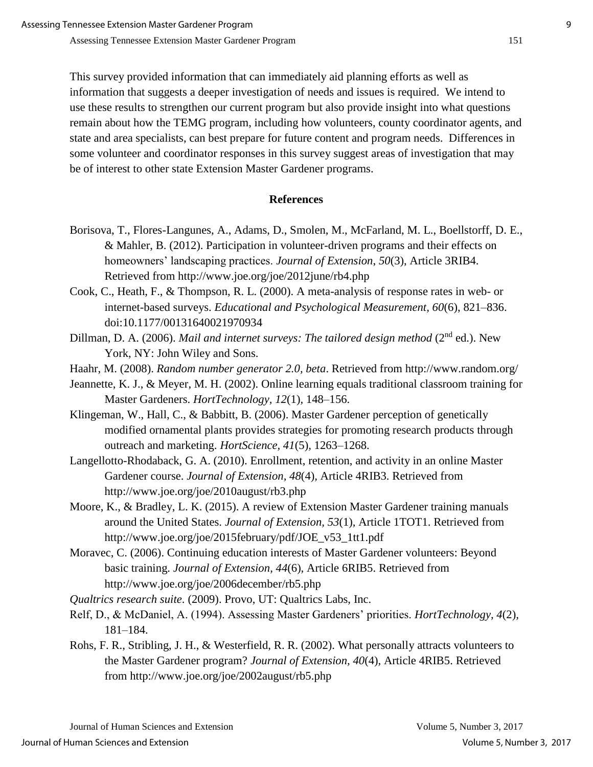This survey provided information that can immediately aid planning efforts as well as information that suggests a deeper investigation of needs and issues is required. We intend to use these results to strengthen our current program but also provide insight into what questions remain about how the TEMG program, including how volunteers, county coordinator agents, and state and area specialists, can best prepare for future content and program needs. Differences in some volunteer and coordinator responses in this survey suggest areas of investigation that may be of interest to other state Extension Master Gardener programs.

### **References**

- Borisova, T., Flores-Langunes, A., Adams, D., Smolen, M., McFarland, M. L., Boellstorff, D. E., & Mahler, B. (2012). Participation in volunteer-driven programs and their effects on homeowners' landscaping practices. *Journal of Extension*, *50*(3), Article 3RIB4. Retrieved from http://www.joe.org/joe/2012june/rb4.php
- Cook, C., Heath, F., & Thompson, R. L. (2000). A meta-analysis of response rates in web- or internet-based surveys. *Educational and Psychological Measurement, 60*(6), 821–836. doi:10.1177/00131640021970934
- Dillman, D. A. (2006). *Mail and internet surveys: The tailored design method* (2<sup>nd</sup> ed.). New York, NY: John Wiley and Sons.
- Haahr, M. (2008). *Random number generator 2.0, beta*. Retrieved from http://www.random.org/
- Jeannette, K. J., & Meyer, M. H. (2002). Online learning equals traditional classroom training for Master Gardeners. *HortTechnology, 12*(1)*,* 148–156.
- Klingeman, W., Hall, C., & Babbitt, B. (2006). Master Gardener perception of genetically modified ornamental plants provides strategies for promoting research products through outreach and marketing. *HortScience, 41*(5)*,* 1263–1268.
- Langellotto-Rhodaback, G. A. (2010). Enrollment, retention, and activity in an online Master Gardener course. *Journal of Extension, 48*(4)*,* Article 4RIB3. Retrieved from http://www.joe.org/joe/2010august/rb3.php
- Moore, K., & Bradley, L. K. (2015). A review of Extension Master Gardener training manuals around the United States. *Journal of Extension, 53*(1)*,* Article 1TOT1. Retrieved from http://www.joe.org/joe/2015february/pdf/JOE\_v53\_1tt1.pdf
- Moravec, C. (2006). Continuing education interests of Master Gardener volunteers: Beyond basic training. *Journal of Extension, 44*(6)*,* Article 6RIB5. Retrieved from http://www.joe.org/joe/2006december/rb5.php

*Qualtrics research suite*. (2009). Provo, UT: Qualtrics Labs, Inc.

- Relf, D., & McDaniel, A. (1994). Assessing Master Gardeners' priorities. *HortTechnology, 4*(2)*,* 181–184.
- Rohs, F. R., Stribling, J. H., & Westerfield, R. R. (2002). What personally attracts volunteers to the Master Gardener program? *Journal of Extension, 40*(4)*,* Article 4RIB5. Retrieved from http://www.joe.org/joe/2002august/rb5.php